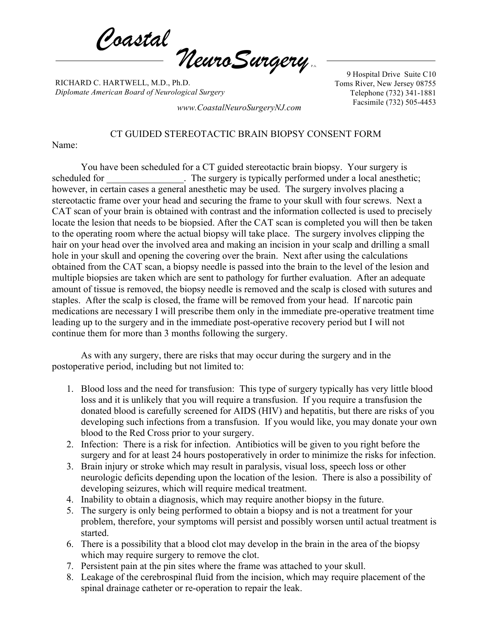<u>Coastal</u> NeuroSurgery

RICHARD C. HARTWELL, M.D., Ph.D. *Diplomate American Board of Neurological Surgery*

Facsimile (732) 505-4453 *www.CoastalNeuroSurgeryNJ.com*

9 Hospital Drive Suite C10 Toms River, New Jersey 08755 Telephone (732) 341-1881

## CT GUIDED STEREOTACTIC BRAIN BIOPSY CONSENT FORM

Name:

You have been scheduled for a CT guided stereotactic brain biopsy. Your surgery is scheduled for The surgery is typically performed under a local anesthetic; however, in certain cases a general anesthetic may be used. The surgery involves placing a stereotactic frame over your head and securing the frame to your skull with four screws. Next a CAT scan of your brain is obtained with contrast and the information collected is used to precisely locate the lesion that needs to be biopsied. After the CAT scan is completed you will then be taken to the operating room where the actual biopsy will take place. The surgery involves clipping the hair on your head over the involved area and making an incision in your scalp and drilling a small hole in your skull and opening the covering over the brain. Next after using the calculations obtained from the CAT scan, a biopsy needle is passed into the brain to the level of the lesion and multiple biopsies are taken which are sent to pathology for further evaluation. After an adequate amount of tissue is removed, the biopsy needle is removed and the scalp is closed with sutures and staples. After the scalp is closed, the frame will be removed from your head. If narcotic pain medications are necessary I will prescribe them only in the immediate pre-operative treatment time leading up to the surgery and in the immediate post-operative recovery period but I will not continue them for more than 3 months following the surgery.

As with any surgery, there are risks that may occur during the surgery and in the postoperative period, including but not limited to:

- 1. Blood loss and the need for transfusion: This type of surgery typically has very little blood loss and it is unlikely that you will require a transfusion. If you require a transfusion the donated blood is carefully screened for AIDS (HIV) and hepatitis, but there are risks of you developing such infections from a transfusion. If you would like, you may donate your own blood to the Red Cross prior to your surgery.
- 2. Infection: There is a risk for infection. Antibiotics will be given to you right before the surgery and for at least 24 hours postoperatively in order to minimize the risks for infection.
- 3. Brain injury or stroke which may result in paralysis, visual loss, speech loss or other neurologic deficits depending upon the location of the lesion. There is also a possibility of developing seizures, which will require medical treatment.
- 4. Inability to obtain a diagnosis, which may require another biopsy in the future.
- 5. The surgery is only being performed to obtain a biopsy and is not a treatment for your problem, therefore, your symptoms will persist and possibly worsen until actual treatment is started.
- 6. There is a possibility that a blood clot may develop in the brain in the area of the biopsy which may require surgery to remove the clot.
- 7. Persistent pain at the pin sites where the frame was attached to your skull.
- 8. Leakage of the cerebrospinal fluid from the incision, which may require placement of the spinal drainage catheter or re-operation to repair the leak.